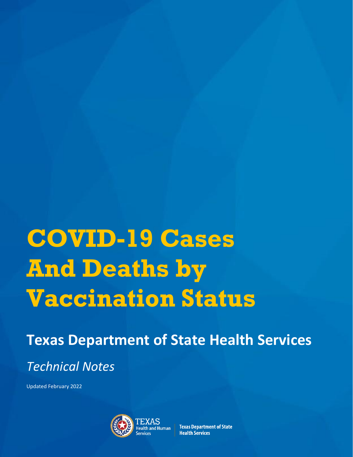# **COVID-19 Cases And Deaths by Vaccination Status**

**Texas Department of State Health Services** *Technical Notes*

Updated February 2022



**Texas Department of State Health Services**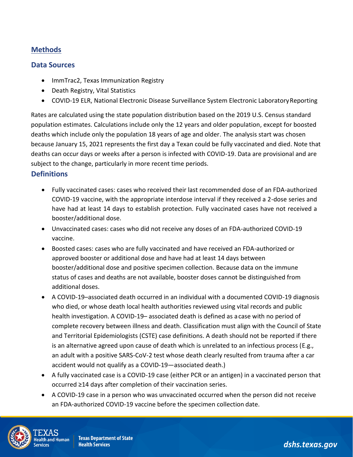## **Methods**

#### **Data Sources**

- ImmTrac2, Texas Immunization Registry
- Death Registry, Vital Statistics
- COVID-19 ELR, National Electronic Disease Surveillance System Electronic Laboratory Reporting

Rates are calculated using the state population distribution based on the 2019 U.S. Census standard population estimates. Calculations include only the 12 years and older population, except for boosted deaths which include only the population 18 years of age and older. The analysis start was chosen because January 15, 2021 represents the first day a Texan could be fully vaccinated and died. Note that deaths can occur days or weeks after a person is infected with COVID-19. Data are provisional and are subject to the change, particularly in more recent time periods.

#### **Definitions**

- Fully vaccinated cases: cases who received their last recommended dose of an FDA-authorized COVID-19 vaccine, with the appropriate interdose interval if they received a 2-dose series and have had at least 14 days to establish protection. Fully vaccinated cases have not received a booster/additional dose.
- Unvaccinated cases: cases who did not receive any doses of an FDA-authorized COVID-19 vaccine.
- Boosted cases: cases who are fully vaccinated and have received an FDA-authorized or approved booster or additional dose and have had at least 14 days between booster/additional dose and positive specimen collection. Because data on the immune status of cases and deaths are not available, booster doses cannot be distinguished from additional doses.
- A COVID-19–associated death occurred in an individual with a documented COVID-19 diagnosis who died, or whose death local health authorities reviewed using vital records and public health investigation. A COVID-19– associated death is defined as acase with no period of complete recovery between illness and death. Classification must align with the Council of State and Territorial Epidemiologists (CSTE) case definitions. A death should not be reported if there is an alternative agreed upon cause of death which is unrelated to an infectious process (E.g., an adult with a positive SARS-CoV-2 test whose death clearly resulted from trauma after a car accident would not qualify as a COVID-19—associated death.)
- A fully vaccinated case is a COVID-19 case (either PCR or an antigen) in a vaccinated person that occurred ≥14 days after completion of their vaccination series.
- A COVID-19 case in a person who was unvaccinated occurred when the person did not receive an FDA-authorized COVID-19 vaccine before the specimen collection date.



*dshs.texas.gov*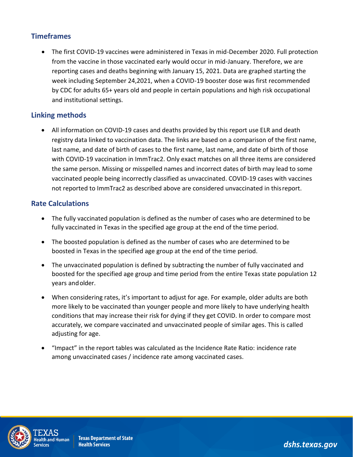## **Timeframes**

• The first COVID-19 vaccines were administered in Texas in mid-December 2020. Full protection from the vaccine in those vaccinated early would occur in mid-January. Therefore, we are reporting cases and deaths beginning with January 15, 2021. Data are graphed starting the week including September 24,2021, when a COVID-19 booster dose was first recommended by CDC for adults 65+ years old and people in certain populations and high risk occupational and institutional settings.

## **Linking methods**

• All information on COVID-19 cases and deaths provided by this report use ELR and death registry data linked to vaccination data. The links are based on a comparison of the first name, last name, and date of birth of cases to the first name, last name, and date of birth of those with COVID-19 vaccination in ImmTrac2. Only exact matches on all three items are considered the same person. Missing or misspelled names and incorrect dates of birth may lead to some vaccinated people being incorrectly classified as unvaccinated. COVID-19 cases with vaccines not reported to ImmTrac2 as described above are considered unvaccinated in thisreport.

#### **Rate Calculations**

- The fully vaccinated population is defined as the number of cases who are determined to be fully vaccinated in Texas in the specified age group at the end of the time period.
- The boosted population is defined as the number of cases who are determined to be boosted in Texas in the specified age group at the end of the time period.
- The unvaccinated population is defined by subtracting the number of fully vaccinated and boosted for the specified age group and time period from the entire Texas state population 12 years andolder.
- When considering rates, it's important to adjust for age. For example, older adults are both more likely to be vaccinated than younger people and more likely to have underlying health conditions that may increase their risk for dying if they get COVID. In order to compare most accurately, we compare vaccinated and unvaccinated people of similar ages. This is called adjusting for age.
- "Impact" in the report tables was calculated as the Incidence Rate Ratio: incidence rate among unvaccinated cases / incidence rate among vaccinated cases.



**Texas Department of State Health Services** 

*dshs.texas.gov*